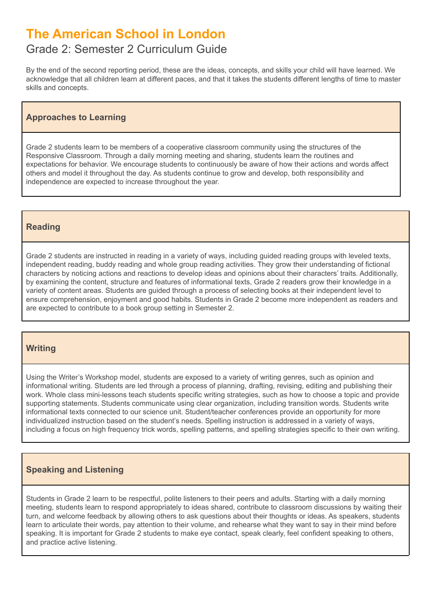# **The American School in London**

# Grade 2: Semester 2 Curriculum Guide

By the end of the second reporting period, these are the ideas, concepts, and skills your child will have learned. We acknowledge that all children learn at different paces, and that it takes the students different lengths of time to master skills and concepts.

# **Approaches to Learning**

Grade 2 students learn to be members of a cooperative classroom community using the structures of the Responsive Classroom. Through a daily morning meeting and sharing, students learn the routines and expectations for behavior. We encourage students to continuously be aware of how their actions and words affect others and model it throughout the day. As students continue to grow and develop, both responsibility and independence are expected to increase throughout the year.

### **Reading**

Grade 2 students are instructed in reading in a variety of ways, including guided reading groups with leveled texts, independent reading, buddy reading and whole group reading activities. They grow their understanding of fictional characters by noticing actions and reactions to develop ideas and opinions about their characters' traits. Additionally, by examining the content, structure and features of informational texts, Grade 2 readers grow their knowledge in a variety of content areas. Students are guided through a process of selecting books at their independent level to ensure comprehension, enjoyment and good habits. Students in Grade 2 become more independent as readers and are expected to contribute to a book group setting in Semester 2.

# **Writing**

Using the Writer's Workshop model, students are exposed to a variety of writing genres, such as opinion and informational writing. Students are led through a process of planning, drafting, revising, editing and publishing their work. Whole class mini-lessons teach students specific writing strategies, such as how to choose a topic and provide supporting statements. Students communicate using clear organization, including transition words. Students write informational texts connected to our science unit. Student/teacher conferences provide an opportunity for more individualized instruction based on the student's needs. Spelling instruction is addressed in a variety of ways, including a focus on high frequency trick words, spelling patterns, and spelling strategies specific to their own writing.

# **Speaking and Listening**

Students in Grade 2 learn to be respectful, polite listeners to their peers and adults. Starting with a daily morning meeting, students learn to respond appropriately to ideas shared, contribute to classroom discussions by waiting their turn, and welcome feedback by allowing others to ask questions about their thoughts or ideas. As speakers, students learn to articulate their words, pay attention to their volume, and rehearse what they want to say in their mind before speaking. It is important for Grade 2 students to make eye contact, speak clearly, feel confident speaking to others, and practice active listening.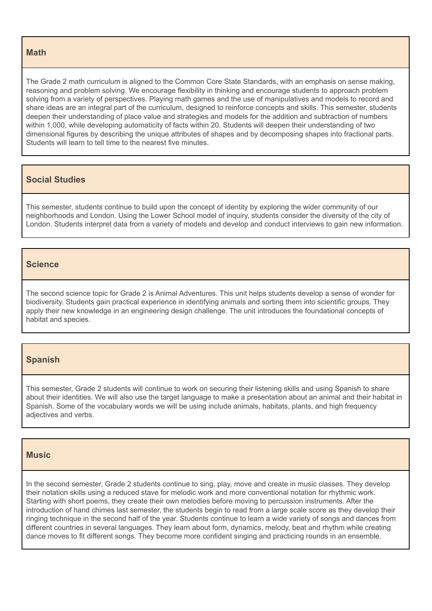#### **Math**

The Grade 2 math curriculum is aligned to the Common Core State Standards, with an emphasis on sense making, reasoning and problem solving. We encourage flexibility in thinking and encourage students to approach problem solving from a variety of perspectives. Playing math games and the use of manipulatives and models to record and share ideas are an integral part of the curriculum, designed to reinforce concepts and skills. This semester, students deepen their understanding of place value and strategies and models for the addition and subtraction of numbers within 1,000, while developing automaticity of facts within 20. Students will deepen their understanding of two dimensional figures by describing the unique attributes of shapes and by decomposing shapes into fractional parts. Students will learn to tell time to the nearest five minutes.

#### **Social Studies**

This semester, students continue to build upon the concept of identity by exploring the wider community of our neighborhoods and London. Using the Lower School model of inquiry, students consider the diversity of the city of London. Students interpret data from a variety of models and develop and conduct interviews to gain new information.

#### **Science**

The second science topic for Grade 2 is Animal Adventures. This unit helps students develop a sense of wonder for biodiversity. Students gain practical experience in identifying animals and sorting them into scientific groups. They apply their new knowledge in an engineering design challenge. The unit introduces the foundational concepts of habitat and species.

#### **Spanish**

This semester, Grade 2 students will continue to work on securing their listening skills and using Spanish to share about their identities. We will also use the target language to make a presentation about an animal and their habitat in Spanish. Some of the vocabulary words we will be using include animals, habitats, plants, and high frequency adjectives and verbs.

#### **Music**

In the second semester, Grade 2 students continue to sing, play, move and create in music classes. They develop their notation skills using a reduced stave for melodic work and more conventional notation for rhythmic work. Starting with short poems, they create their own melodies before moving to percussion instruments. After the introduction of hand chimes last semester, the students begin to read from a large scale score as they develop their ringing technique in the second half of the year. Students continue to learn a wide variety of songs and dances from different countries in several languages. They learn about form, dynamics, melody, beat and rhythm while creating dance moves to fit different songs. They become more confident singing and practicing rounds in an ensemble.